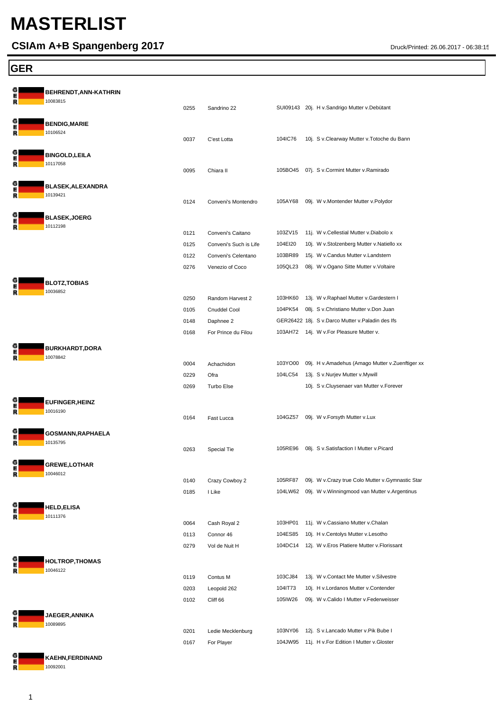# **MASTERLIST**

### **CSIAm A+B Spangenberg 2017** Druck/Printed: 26.06.2017 - 06:38:15

#### **GER**

| G<br>R      | BEHRENDT, ANN-KATHRIN<br>10083815    | 0255                 | Sandrino 22                                                        |                               | SUI09143 20j. H v.Sandrigo Mutter v.Debütant                                                                                |
|-------------|--------------------------------------|----------------------|--------------------------------------------------------------------|-------------------------------|-----------------------------------------------------------------------------------------------------------------------------|
| G<br>R      | <b>BENDIG, MARIE</b><br>10106524     | 0037                 | C'est Lotta                                                        | 104IC76                       | 10j. S v.Clearway Mutter v.Totoche du Bann                                                                                  |
| G<br>E<br>R | <b>BINGOLD, LEILA</b><br>10117058    | 0095                 | Chiara II                                                          |                               | 105BO45 07j. S v.Cormint Mutter v.Ramirado                                                                                  |
| G<br>E<br>R | <b>BLASEK, ALEXANDRA</b><br>10139421 | 0124                 | Conveni's Montendro                                                | 105AY68                       | 09j. W v.Montender Mutter v.Polydor                                                                                         |
| G<br>E<br>R | <b>BLASEK,JOERG</b><br>10112198      |                      |                                                                    |                               |                                                                                                                             |
|             |                                      | 0121<br>0125<br>0122 | Conveni's Caitano<br>Conveni's Such is Life<br>Conveni's Celentano | 103ZV15<br>104EI20<br>103BR89 | 11j. W v.Cellestial Mutter v.Diabolo x<br>10j. W v.Stolzenberg Mutter v.Natiello xx<br>15j. W v.Candus Mutter v.Landstern   |
| G           | <b>BLOTZ, TOBIAS</b>                 | 0276                 | Venezio of Coco                                                    | 105QL23                       | 08j. W v.Ogano Sitte Mutter v.Voltaire                                                                                      |
| E<br>R      | 10036852                             | 0250<br>0105         | Random Harvest 2<br><b>Cnuddel Cool</b>                            | 103HK60<br>104PK54            | 13j. W v.Raphael Mutter v.Gardestern I<br>08j. S v.Christiano Mutter v.Don Juan                                             |
| G           |                                      | 0148<br>0168         | Daphnee 2<br>For Prince du Filou                                   |                               | GER26422 18j. S v.Darco Mutter v.Paladin des Ifs<br>103AH72 14j. W v.For Pleasure Mutter v.                                 |
| E<br>R      | <b>BURKHARDT,DORA</b><br>10078842    | 0004<br>0229         | Achachidon<br>Ofra                                                 | 103YO00<br>104LC54            | 09j. H v.Amadehus (Amago Mutter v.Zuenftiger xx<br>13j. S v.Nurjev Mutter v.Mywill                                          |
| G           | <b>EUFINGER,HEINZ</b>                | 0269                 | Turbo Else                                                         |                               | 10j. S v.Cluysenaer van Mutter v.Forever                                                                                    |
| Ē<br>R<br>G | 10016190<br><b>GOSMANN, RAPHAELA</b> | 0164                 | Fast Lucca                                                         | 104GZ57                       | 09j. W v.Forsyth Mutter v.Lux                                                                                               |
| E<br>R      | 10135795                             | 0263                 | Special Tie                                                        | 105RE96                       | 08j. S v.Satisfaction I Mutter v.Picard                                                                                     |
| G<br>E<br>R | <b>GREWE,LOTHAR</b><br>10046012      | 0140                 | Crazy Cowboy 2                                                     | 105RF87                       | 09j. W v.Crazy true Colo Mutter v.Gymnastic Star                                                                            |
| G<br>E<br>R | <b>HELD,ELISA</b><br>10111376        | 0185                 | I Like                                                             | 104LW62                       | 09j. W v. Winningmood van Mutter v. Argentinus                                                                              |
|             |                                      | 0064<br>0113<br>0279 | Cash Royal 2<br>Connor 46<br>Vol de Nuit H                         | 103HP01<br>104ES85<br>104DC14 | 11j. W v.Cassiano Mutter v.Chalan<br>10j. H v.Centolys Mutter v.Lesotho<br>12j. W v.Eros Platiere Mutter v.Florissant       |
| G<br>E<br>R | <b>HOLTROP,THOMAS</b><br>10046122    |                      |                                                                    |                               |                                                                                                                             |
|             |                                      | 0119<br>0203<br>0102 | Contus M<br>Leopold 262<br>Cliff 66                                | 103CJ84<br>104IT73<br>105IW26 | 13j. W v.Contact Me Mutter v.Silvestre<br>10j. H v. Lordanos Mutter v. Contender<br>09j. W v.Calido I Mutter v.Federweisser |
| G<br>E<br>R | <b>JAEGER, ANNIKA</b><br>10089895    | 0201                 | Ledie Mecklenburg                                                  | 103NY06                       | 12j. S v.Lancado Mutter v.Pik Bube I                                                                                        |
|             |                                      | 0167                 | For Player                                                         | 104JW95                       | 11j. H v.For Edition I Mutter v.Gloster                                                                                     |

**KAEHN,FERDINAND** 

G  $\overline{R}$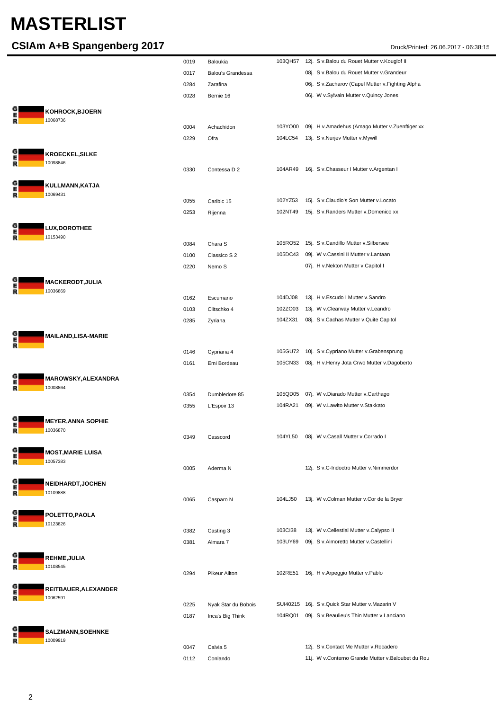## **MASTERLIST**

### **CSIAm A+B Spangenberg 2017** Druck/Printed: 26.06.2017 - 06:38:15

|        |                                       | 0019 | Baloukia                 | 103QH57  | 12j. S v.Balou du Rouet Mutter v.Kouglof II       |
|--------|---------------------------------------|------|--------------------------|----------|---------------------------------------------------|
|        |                                       | 0017 | <b>Balou's Grandessa</b> |          | 08j. S v.Balou du Rouet Mutter v.Grandeur         |
|        |                                       | 0284 | Zarafina                 |          | 06j. S v.Zacharov (Capel Mutter v.Fighting Alpha  |
|        |                                       | 0028 | Bernie 16                |          | 06j. W v.Sylvain Mutter v.Quincy Jones            |
|        | KOHROCK, BJOERN<br>10068736           |      |                          |          |                                                   |
|        |                                       | 0004 | Achachidon               | 103YO00  | 09j. H v.Amadehus (Amago Mutter v.Zuenftiger xx   |
|        |                                       | 0229 | Ofra                     | 104LC54  | 13j. S v.Nurjev Mutter v.Mywill                   |
|        | <b>KROECKEL, SILKE</b>                |      |                          |          |                                                   |
|        | 10098846                              |      |                          |          |                                                   |
|        |                                       | 0330 | Contessa D 2             | 104AR49  | 16j. S v.Chasseur I Mutter v.Argentan I           |
| R      | KULLMANN, KATJA<br>10069431           |      |                          |          |                                                   |
|        |                                       | 0055 | Caribic 15               | 102YZ53  | 15j. S v.Claudio's Son Mutter v.Locato            |
|        |                                       | 0253 | Rijenna                  | 102NT49  | 15j. S v.Randers Mutter v.Domenico xx             |
| R      | LUX, DOROTHEE<br>10153490             |      |                          |          |                                                   |
|        |                                       | 0084 | Chara S                  | 105RO52  | 15j. S v.Candillo Mutter v.Silbersee              |
|        |                                       | 0100 | Classico S 2             | 105DC43  | 09j. W v.Cassini II Mutter v.Lantaan              |
|        |                                       | 0220 | Nemo S                   |          | 07j. H v.Nekton Mutter v.Capitol I                |
|        | <b>MACKERODT, JULIA</b><br>10036869   |      |                          |          |                                                   |
|        |                                       | 0162 | Escumano                 | 104DJ08  | 13j. H v. Escudo I Mutter v. Sandro               |
|        |                                       | 0103 | Clitschko 4              | 102ZO03  | 13j. W v.Clearway Mutter v.Leandro                |
|        |                                       | 0285 | Zyriana                  | 104ZX31  | 08j. S v.Cachas Mutter v.Quite Capitol            |
|        | <b>MAILAND,LISA-MARIE</b>             |      |                          |          |                                                   |
|        |                                       | 0146 | Cypriana 4               | 105GU72  | 10j. S v.Cypriano Mutter v.Grabensprung           |
|        |                                       | 0161 | Emi Bordeau              | 105CN33  | 08j. H v. Henry Jota Crwo Mutter v. Dagoberto     |
| R      | MAROWSKY, ALEXANDRA<br>10008864       |      |                          |          |                                                   |
|        |                                       | 0354 | Dumbledore 85            | 105QD05  | 07j. W v.Diarado Mutter v.Carthago                |
|        |                                       | 0355 | L'Espoir 13              | 104RA21  | 09j. W v.Lawito Mutter v.Stakkato                 |
| Е<br>R | <b>MEYER, ANNA SOPHIE</b><br>10036870 |      |                          |          |                                                   |
|        |                                       | 0349 | Casscord                 |          | 104YL50 08j. W v.Casall Mutter v.Corrado I        |
|        | <b>MOST,MARIE LUISA</b><br>10057383   |      |                          |          |                                                   |
|        |                                       | 0005 | Aderma N                 |          | 12j. S v.C-Indoctro Mutter v.Nimmerdor            |
| R      | NEIDHARDT, JOCHEN<br>10109888         |      |                          |          |                                                   |
|        |                                       | 0065 | Casparo N                | 104LJ50  | 13j. W v.Colman Mutter v.Cor de la Bryer          |
| R      | POLETTO, PAOLA<br>10123826            |      |                          |          |                                                   |
|        |                                       | 0382 | Casting 3                | 103Cl38  | 13j. W v.Cellestial Mutter v.Calypso II           |
|        |                                       | 0381 | Almara 7                 | 103UY69  | 09j. S v.Almoretto Mutter v.Castellini            |
|        | REHME, JULIA                          |      |                          |          |                                                   |
|        | 10108545                              |      |                          |          |                                                   |
|        |                                       | 0294 | <b>Pikeur Ailton</b>     | 102RE51  | 16j. H v. Arpeggio Mutter v. Pablo                |
| R      | REITBAUER, ALEXANDER<br>10062591      |      |                          |          |                                                   |
|        |                                       | 0225 | Nyak Star du Bobois      | SUI40215 | 16j. S v.Quick Star Mutter v.Mazarin V            |
|        |                                       | 0187 | Inca's Big Think         | 104RQ01  | 09j. S v.Beaulieu's Thin Mutter v.Lanciano        |
|        | SALZMANN, SOEHNKE<br>10009919         |      |                          |          |                                                   |
|        |                                       | 0047 | Calvia 5                 |          | 12j. S v.Contact Me Mutter v.Rocadero             |
|        |                                       | 0112 | Conlando                 |          | 11j. W v.Conterno Grande Mutter v.Baloubet du Rou |